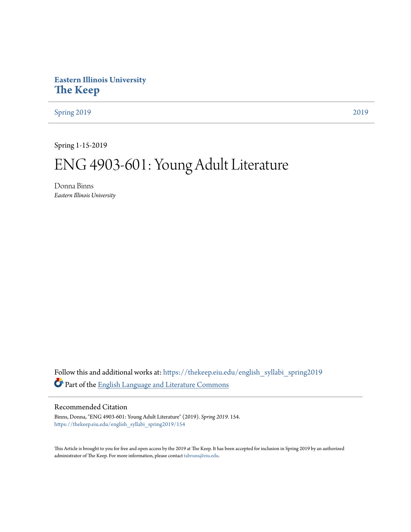# **Eastern Illinois University [The Keep](https://thekeep.eiu.edu?utm_source=thekeep.eiu.edu%2Fenglish_syllabi_spring2019%2F154&utm_medium=PDF&utm_campaign=PDFCoverPages)**

[Spring 2019](https://thekeep.eiu.edu/english_syllabi_spring2019?utm_source=thekeep.eiu.edu%2Fenglish_syllabi_spring2019%2F154&utm_medium=PDF&utm_campaign=PDFCoverPages) [2019](https://thekeep.eiu.edu/english_syllabi2019?utm_source=thekeep.eiu.edu%2Fenglish_syllabi_spring2019%2F154&utm_medium=PDF&utm_campaign=PDFCoverPages)

Spring 1-15-2019

# ENG 4903-601: Young Adult Literature

Donna Binns *Eastern Illinois University*

Follow this and additional works at: [https://thekeep.eiu.edu/english\\_syllabi\\_spring2019](https://thekeep.eiu.edu/english_syllabi_spring2019?utm_source=thekeep.eiu.edu%2Fenglish_syllabi_spring2019%2F154&utm_medium=PDF&utm_campaign=PDFCoverPages) Part of the [English Language and Literature Commons](http://network.bepress.com/hgg/discipline/455?utm_source=thekeep.eiu.edu%2Fenglish_syllabi_spring2019%2F154&utm_medium=PDF&utm_campaign=PDFCoverPages)

#### Recommended Citation

Binns, Donna, "ENG 4903-601: Young Adult Literature" (2019). *Spring 2019*. 154. [https://thekeep.eiu.edu/english\\_syllabi\\_spring2019/154](https://thekeep.eiu.edu/english_syllabi_spring2019/154?utm_source=thekeep.eiu.edu%2Fenglish_syllabi_spring2019%2F154&utm_medium=PDF&utm_campaign=PDFCoverPages)

This Article is brought to you for free and open access by the 2019 at The Keep. It has been accepted for inclusion in Spring 2019 by an authorized administrator of The Keep. For more information, please contact [tabruns@eiu.edu.](mailto:tabruns@eiu.edu)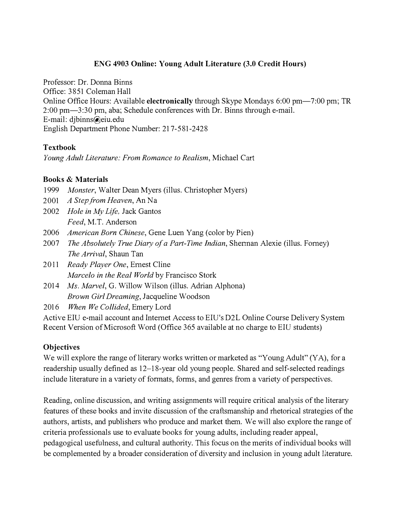# ENG 4903 Online: Young Adult Literature (3.0 Credit Hours)

Professor: Dr. Donna Binns Office: 3851 Coleman Hall Online Office Hours: Available electronically through Skype Mondays 6:00 pm-7:00 pm; TR 2:00 pm-3:30 pm, aba; Schedule conferences with Dr. Binns through e-mail. E-mail: djbinns@eiu.edu English Department Phone Number: 217-581-2428

## Textbook

Young Adult Literature: From Romance to Realism, Michael Cart

## Books & Materials

- 1999 Monster, Walter Dean Myers (illus. Christopher Myers)
- 2001 A Step from Heaven, An Na
- 2002 *Hole in My Life*, Jack Gantos Feed, M.T. Anderson
- 2006 American Born Chinese, Gene Luen Yang (color by Pien)
- 2007 The Absolutely True Diary of a Part-Time Indian, Sheman Alexie (illus. Forney) The Arrival, Shaun Tan
- 2011 Ready Player One, Ernest Cline Marcelo in the Real World by Francisco Stork
- 2014 Ms. Marvel, G. Willow Wilson (illus. Adrian Alphona) Brown Girl Dreaming, Jacqueline Woodson
- 2016 When We Collided, Emery Lord

Active EIU e-mail account and Internet Access to EIU's D2L Online Course Delivery System Recent Version of Microsoft Word (Office 365 available at no charge to EIU students)

# **Objectives**

We will explore the range of literary works written or marketed as "Young Adult" (YA), for a readership usually defined as 12–18-year old young people. Shared and self-selected readings include literature in a variety of formats, forms, and genres from a variety of perspectives.

Reading, online discussion, and writing assignments will require critical analysis of the literary features of these books and invite discussion of the craftsmanship and rhetorical strategies of the authors, artists, and publishers who produce and market them. We will also explore the range of criteria professionals use to evaluate books for young adults, including reader appeal, pedagogical usefulness, and cultural authority. This focus on the merits of individual books will be complemented by a broader consideration of diversity and inclusion in young adult literature.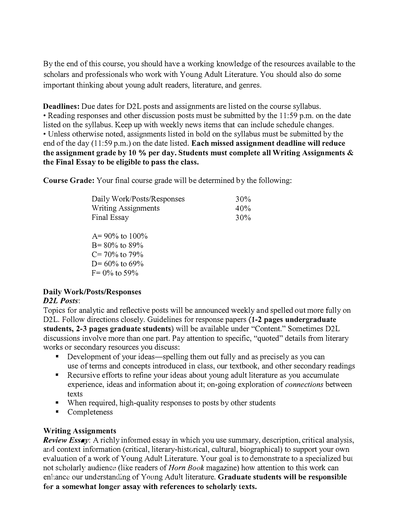By the end of this course, you should have a working knowledge of the resources available to the scholars and professionals who work with Young Adult Literature. You should also do some important thinking about young adult readers, literature, and genres.

**Deadlines:** Due dates for D2L posts and assignments are listed on the course syllabus. •Reading responses and other discussion posts must be submitted by the 11 :59 p.m. on the date listed on the syllabus. Keep up with weekly news items that can include schedule changes. • Unless otherwise noted, assignments listed in bold on the syllabus must be submitted by the end of the day (11:59 p.m.) on the date listed. Each missed assignment deadline will reduce the assignment grade by 10 % per day. Students must complete all Writing Assignments  $\&$ the Final Essay to be eligible to pass the class.

Course Grade: Your final course grade will be determined by the following:

| Daily Work/Posts/Responses<br><b>Writing Assignments</b>         | 30%<br>40% |
|------------------------------------------------------------------|------------|
| Final Essay                                                      | 30%        |
| $A = 90\%$ to 100%<br>$B = 80\%$ to 89%<br>$\alpha$ and $\alpha$ |            |

 $C = 70\%$  to 79%

D=  $60\%$  to  $69\%$  $F = 0\%$  to 59%

# Daily Work/Posts/Responses

# D<sub>2</sub>L Posts:

Topics for analytic and reflective posts will be announced weekly and spelled out more fully on D2L. Follow directions closely. Guidelines for response papers (1-2 pages undergraduate students, 2-3 pages graduate students) will be available under "Content." Sometimes D2L discussions involve more than one part. Pay attention to specific, "quoted" details from literary works or secondary resources you discuss:

- Development of your ideas—spelling them out fully and as precisely as you can use of terms and concepts introduced in class, our textbook, and other secondary readings
- Recursive efforts to refine your ideas about young adult literature as you accumulate experience, ideas and information about it; on-going exploration of connections between texts
- When required, high-quality responses to posts by other students
- Completeness

# Writing Assignments

Review Essay: A richly informed essay in which you use summary, description, critical analysis, and context information (critical, literary-historical, cultural, biographical) to support your own evaluation of a work of Young Adult Literature. Your goal is to demonstrate to a specialized but not scholarly audience (like readers of *Horn Book* magazine) how attention to this work can enhance our understanding of Young Adult literature. Graduate students will be responsible for a somewhat longer assay with references to scholarly texts.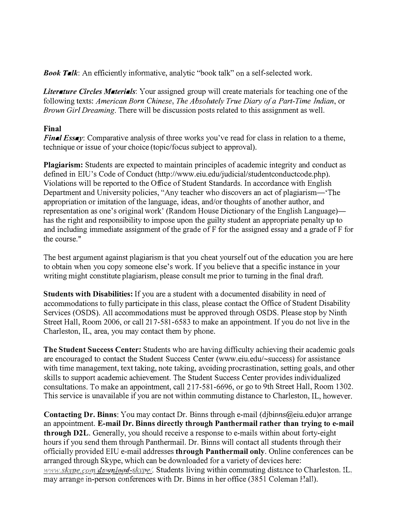**Book Talk:** An efficiently informative, analytic "book talk" on a self-selected work.

Literature Circles Materials: Your assigned group will create materials for teaching one of the following texts: American Born Chinese, The Absolutely True Diary of a Part-Time Indian, or Brown Girl Dreaming. There will be discussion posts related to this assignment as well.

## Final

Final Essay: Comparative analysis of three works you've read for class in relation to a theme, technique or issue of your choice (topic/focus subject to approval).

Plagiarism: Students are expected to maintain principles of academic integrity and conduct as defined in EIU's Code of Conduct (http://www.eiu.edu/judicial/studentconductcode.php). Violations will be reported to the Office of Student Standards. In accordance with English Department and University policies, "Any teacher who discovers an act of plagiarism-'The appropriation or imitation of the language, ideas, and/or thoughts of another author, and representation as one's original work' (Random House Dictionary of the English Language) has the right and responsibility to impose upon the guilty student an appropriate penalty up to and including immediate assignment of the grade of F for the assigned essay and a grade of F for the course."

The best argument against plagiarism is that you cheat yourself out of the education you are here to obtain when you copy someone else's work. If you believe that a specific instance in your writing might constitute plagiarism, please consult me prior to turning in the final draft.

Students with Disabilities: If you are a student with a documented disability in need of acconunodations to fully participate in this class, please contact the Office of Student Disability Services (OSDS). All accommodations must be approved through OSDS. Please stop by Ninth Street Hall, Room 2006, or call 217-581-6583 to make an appointment. If you do not live in the Charleston, IL, area, you may contact them by phone.

The Student Success Center: Students who are having difficulty achieving their academic goals are encouraged to contact the Student Success Center (www.eiu.edu/-success) for assistance with time management, text taking, note taking, avoiding procrastination, setting goals, and other skills to support academic achievement. The Student Success Center provides individualized consultations. To make an appointment, call 2 17-581-6696, or go to 9th Street Hall, Room 1302. This service is unavailable if you are not within commuting distance to Charleston, IL, however.

Contacting Dr. Binns: You may contact Dr. Binns through e-mail ( djbinns@eiu.edu)or arrange an appointment. E-mail Dr. Binns directly through Panthermail rather than trying to e-mail through D2L. Generally, you should receive a response to e-mails within about forty-eight hours if you send them through Panthermail. Dr. Binns will contact all students through their officially provided EIU e-mail addresses through Panthermail only. Online conferences can be www.skype.com/download-skype/. Students living within commuting distance to Charleston. IL. arranged through Skype, which can be downloaded for a variety of devices here: may arrange in-person conferences with Dr. Binns in her office (3851 Coleman Eall).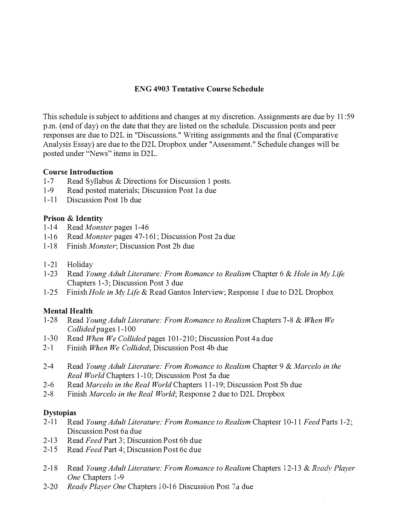## ENG 4903 Tentative Course Schedule

This schedule is subject to additions and changes at my discretion. Assignments are due by 11 :59 p.m. (end of day) on the date that they are listed on the schedule. Discussion posts and peer responses are due to D2L in "Discussions." Writing assignments and the final (Comparative Analysis Essay) are due to the D2L Dropbox under "Assessment." Schedule changes will be posted under "News" items in D2L.

#### Course Introduction

- I-7 Read Syllabus & Directions for Discussion 1 posts.
- 1-9 Read posted materials; Discussion Post 1a due
- 1-11 Discussion Post 1b due

#### Prison & Identity

- 1-14 Read Monster pages 1-46
- 1-16 Read Monster pages 47-161; Discussion Post 2a due
- 1-18 Finish Monster; Discussion Post 2b due
- 1-21 Holiday
- 1-23 Read Young Adult Literature: From Romance to Realism Chapter 6 & Hole in My Life Chapters 1-3; Discussion Post 3 due
- 1-25 Finish *Hole in My Life &* Read Gantos Interview; Response 1 due to D2L Dropbox

#### Mental Health

- 1-28 Read Young Adult Literature: From Romance to Realism Chapters 7-8 & When We Collided pages 1-100
- 1-30 Read When We Collided pages 101-210; Discussion Post 4a due
- 2-1 Finish When We Collided; Discussion Post 4b due
- 2-4 Read Young Adult Literature: From Romance to Realism Chapter 9 & Marcelo in the Real World Chapters 1-10; Discussion Post 5a due
- 2-6 Read Marcelo in the Real World Chapters 1 1- 19; Discussion Post Sb due
- 2-8 Finish Marcelo in the Real World; Response 2 due to D2L Dropbox

#### Dystopias

- 2-11 Read Young Adult Literature: From Romance to Realism Chaptesr 10-11 Feed Parts 1-2; Discussion Post 6a due
- 2-13 Read Feed Part 3; Discussion Post 6b due
- 2-15 Read Feed Part 4; Discussion Post 6c due
- 2-18 Read Young Adult Literature: From Romance to Realism Chapters 12-13 & Ready Player One Chapters 1-9
- 2-20 Ready Player One Chapters 10-16 Discussion Post 7a due